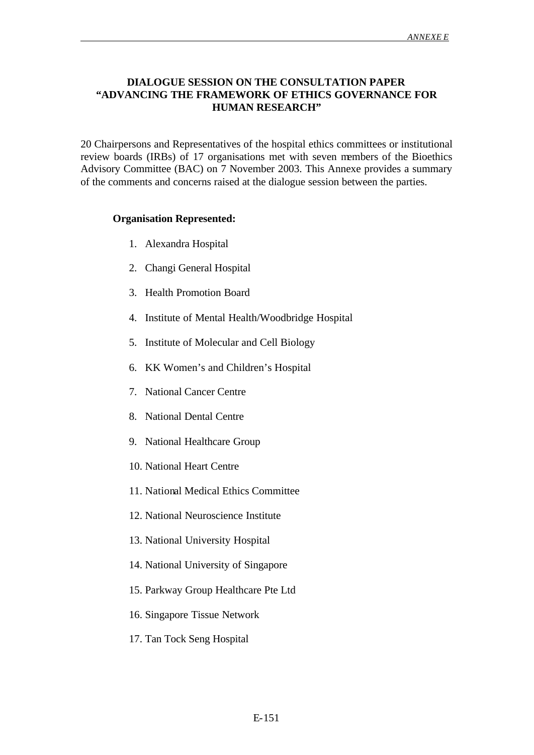## **DIALOGUE SESSION ON THE CONSULTATION PAPER "ADVANCING THE FRAMEWORK OF ETHICS GOVERNANCE FOR HUMAN RESEARCH"**

20 Chairpersons and Representatives of the hospital ethics committees or institutional review boards (IRBs) of 17 organisations met with seven members of the Bioethics Advisory Committee (BAC) on 7 November 2003. This Annexe provides a summary of the comments and concerns raised at the dialogue session between the parties.

## **Organisation Represented:**

- 1. Alexandra Hospital
- 2. Changi General Hospital
- 3. Health Promotion Board
- 4. Institute of Mental Health/Woodbridge Hospital
- 5. Institute of Molecular and Cell Biology
- 6. KK Women's and Children's Hospital
- 7. National Cancer Centre
- 8. National Dental Centre
- 9. National Healthcare Group
- 10. National Heart Centre
- 11. National Medical Ethics Committee
- 12. National Neuroscience Institute
- 13. National University Hospital
- 14. National University of Singapore
- 15. Parkway Group Healthcare Pte Ltd
- 16. Singapore Tissue Network
- 17. Tan Tock Seng Hospital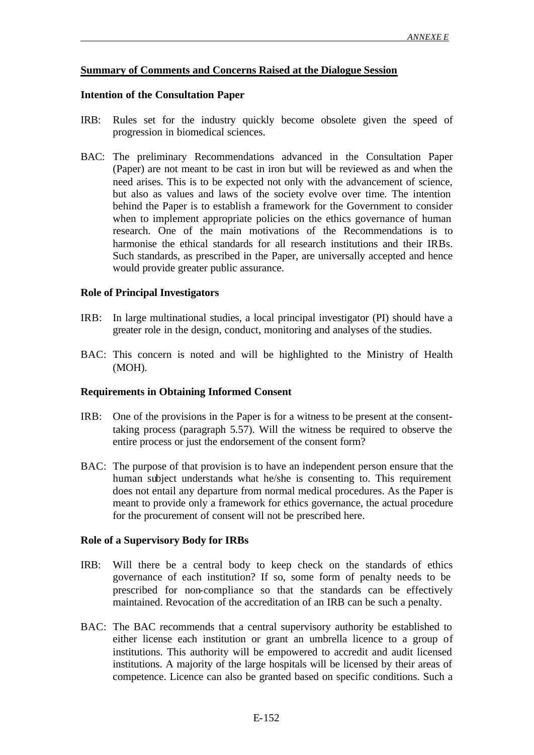### **Summary of Comments and Concerns Raised at the Dialogue Session**

#### **Intention of the Consultation Paper**

- IRB: Rules set for the industry quickly become obsolete given the speed of progression in biomedical sciences.
- BAC: The preliminary Recommendations advanced in the Consultation Paper (Paper) are not meant to be cast in iron but will be reviewed as and when the need arises. This is to be expected not only with the advancement of science, but also as values and laws of the society evolve over time. The intention behind the Paper is to establish a framework for the Government to consider when to implement appropriate policies on the ethics governance of human research. One of the main motivations of the Recommendations is to harmonise the ethical standards for all research institutions and their IRBs. Such standards, as prescribed in the Paper, are universally accepted and hence would provide greater public assurance.

#### **Role of Principal Investigators**

- IRB: In large multinational studies, a local principal investigator (PI) should have a greater role in the design, conduct, monitoring and analyses of the studies.
- BAC: This concern is noted and will be highlighted to the Ministry of Health (MOH).

#### **Requirements in Obtaining Informed Consent**

- IRB: One of the provisions in the Paper is for a witness to be present at the consenttaking process (paragraph 5.57). Will the witness be required to observe the entire process or just the endorsement of the consent form?
- BAC: The purpose of that provision is to have an independent person ensure that the human subject understands what he/she is consenting to. This requirement does not entail any departure from normal medical procedures. As the Paper is meant to provide only a framework for ethics governance, the actual procedure for the procurement of consent will not be prescribed here.

#### **Role of a Supervisory Body for IRBs**

- IRB: Will there be a central body to keep check on the standards of ethics governance of each institution? If so, some form of penalty needs to be prescribed for non-compliance so that the standards can be effectively maintained. Revocation of the accreditation of an IRB can be such a penalty.
- BAC: The BAC recommends that a central supervisory authority be established to either license each institution or grant an umbrella licence to a group of institutions. This authority will be empowered to accredit and audit licensed institutions. A majority of the large hospitals will be licensed by their areas of competence. Licence can also be granted based on specific conditions. Such a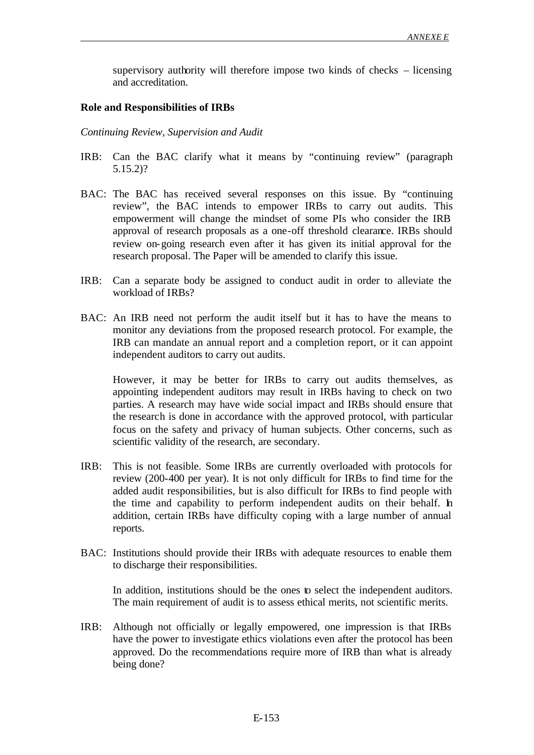supervisory authority will therefore impose two kinds of checks – licensing and accreditation.

#### **Role and Responsibilities of IRBs**

*Continuing Review, Supervision and Audit*

- IRB: Can the BAC clarify what it means by "continuing review" (paragraph 5.15.2)?
- BAC: The BAC has received several responses on this issue. By "continuing review", the BAC intends to empower IRBs to carry out audits. This empowerment will change the mindset of some PIs who consider the IRB approval of research proposals as a one-off threshold clearance. IRBs should review on-going research even after it has given its initial approval for the research proposal. The Paper will be amended to clarify this issue.
- IRB: Can a separate body be assigned to conduct audit in order to alleviate the workload of IRBs?
- BAC: An IRB need not perform the audit itself but it has to have the means to monitor any deviations from the proposed research protocol. For example, the IRB can mandate an annual report and a completion report, or it can appoint independent auditors to carry out audits.

However, it may be better for IRBs to carry out audits themselves, as appointing independent auditors may result in IRBs having to check on two parties. A research may have wide social impact and IRBs should ensure that the research is done in accordance with the approved protocol, with particular focus on the safety and privacy of human subjects. Other concerns, such as scientific validity of the research, are secondary.

- IRB: This is not feasible. Some IRBs are currently overloaded with protocols for review (200-400 per year). It is not only difficult for IRBs to find time for the added audit responsibilities, but is also difficult for IRBs to find people with the time and capability to perform independent audits on their behalf. In addition, certain IRBs have difficulty coping with a large number of annual reports.
- BAC: Institutions should provide their IRBs with adequate resources to enable them to discharge their responsibilities.

In addition, institutions should be the ones to select the independent auditors. The main requirement of audit is to assess ethical merits, not scientific merits.

IRB: Although not officially or legally empowered, one impression is that IRBs have the power to investigate ethics violations even after the protocol has been approved. Do the recommendations require more of IRB than what is already being done?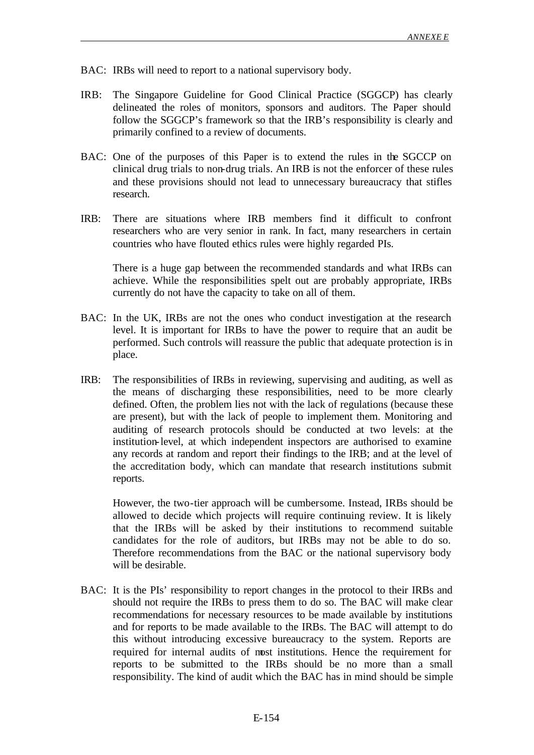- BAC: IRBs will need to report to a national supervisory body.
- IRB: The Singapore Guideline for Good Clinical Practice (SGGCP) has clearly delineated the roles of monitors, sponsors and auditors. The Paper should follow the SGGCP's framework so that the IRB's responsibility is clearly and primarily confined to a review of documents.
- BAC: One of the purposes of this Paper is to extend the rules in the SGCCP on clinical drug trials to non-drug trials. An IRB is not the enforcer of these rules and these provisions should not lead to unnecessary bureaucracy that stifles research.
- IRB: There are situations where IRB members find it difficult to confront researchers who are very senior in rank. In fact, many researchers in certain countries who have flouted ethics rules were highly regarded PIs.

There is a huge gap between the recommended standards and what IRBs can achieve. While the responsibilities spelt out are probably appropriate, IRBs currently do not have the capacity to take on all of them.

- BAC: In the UK, IRBs are not the ones who conduct investigation at the research level. It is important for IRBs to have the power to require that an audit be performed. Such controls will reassure the public that adequate protection is in place.
- IRB: The responsibilities of IRBs in reviewing, supervising and auditing, as well as the means of discharging these responsibilities, need to be more clearly defined. Often, the problem lies not with the lack of regulations (because these are present), but with the lack of people to implement them. Monitoring and auditing of research protocols should be conducted at two levels: at the institution-level, at which independent inspectors are authorised to examine any records at random and report their findings to the IRB; and at the level of the accreditation body, which can mandate that research institutions submit reports.

However, the two-tier approach will be cumbersome. Instead, IRBs should be allowed to decide which projects will require continuing review. It is likely that the IRBs will be asked by their institutions to recommend suitable candidates for the role of auditors, but IRBs may not be able to do so. Therefore recommendations from the BAC or the national supervisory body will be desirable.

BAC: It is the PIs' responsibility to report changes in the protocol to their IRBs and should not require the IRBs to press them to do so. The BAC will make clear recommendations for necessary resources to be made available by institutions and for reports to be made available to the IRBs. The BAC will attempt to do this without introducing excessive bureaucracy to the system. Reports are required for internal audits of most institutions. Hence the requirement for reports to be submitted to the IRBs should be no more than a small responsibility. The kind of audit which the BAC has in mind should be simple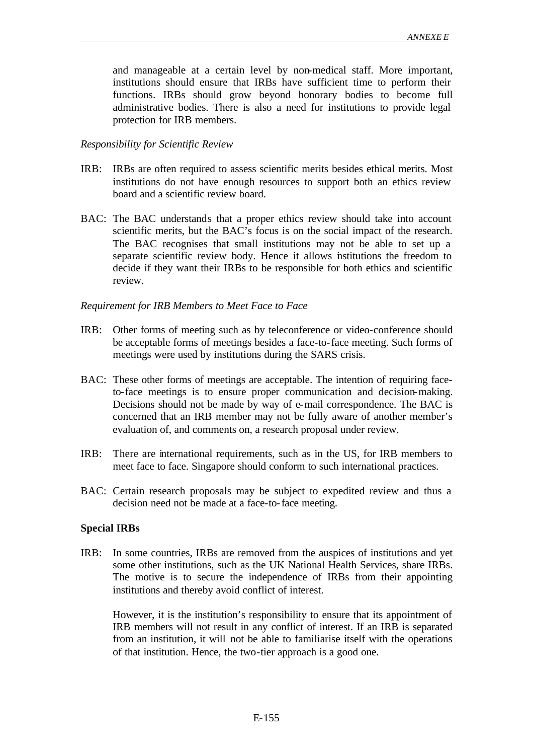and manageable at a certain level by non-medical staff. More important, institutions should ensure that IRBs have sufficient time to perform their functions. IRBs should grow beyond honorary bodies to become full administrative bodies. There is also a need for institutions to provide legal protection for IRB members.

### *Responsibility for Scientific Review*

- IRB: IRBs are often required to assess scientific merits besides ethical merits. Most institutions do not have enough resources to support both an ethics review board and a scientific review board.
- BAC: The BAC understands that a proper ethics review should take into account scientific merits, but the BAC's focus is on the social impact of the research. The BAC recognises that small institutions may not be able to set up a separate scientific review body. Hence it allows institutions the freedom to decide if they want their IRBs to be responsible for both ethics and scientific review.

### *Requirement for IRB Members to Meet Face to Face*

- IRB: Other forms of meeting such as by teleconference or video-conference should be acceptable forms of meetings besides a face-to-face meeting. Such forms of meetings were used by institutions during the SARS crisis.
- BAC: These other forms of meetings are acceptable. The intention of requiring faceto-face meetings is to ensure proper communication and decision-making. Decisions should not be made by way of e-mail correspondence. The BAC is concerned that an IRB member may not be fully aware of another member's evaluation of, and comments on, a research proposal under review.
- IRB: There are international requirements, such as in the US, for IRB members to meet face to face. Singapore should conform to such international practices.
- BAC: Certain research proposals may be subject to expedited review and thus a decision need not be made at a face-to-face meeting.

## **Special IRBs**

IRB: In some countries, IRBs are removed from the auspices of institutions and yet some other institutions, such as the UK National Health Services, share IRBs. The motive is to secure the independence of IRBs from their appointing institutions and thereby avoid conflict of interest.

However, it is the institution's responsibility to ensure that its appointment of IRB members will not result in any conflict of interest. If an IRB is separated from an institution, it will not be able to familiarise itself with the operations of that institution. Hence, the two-tier approach is a good one.